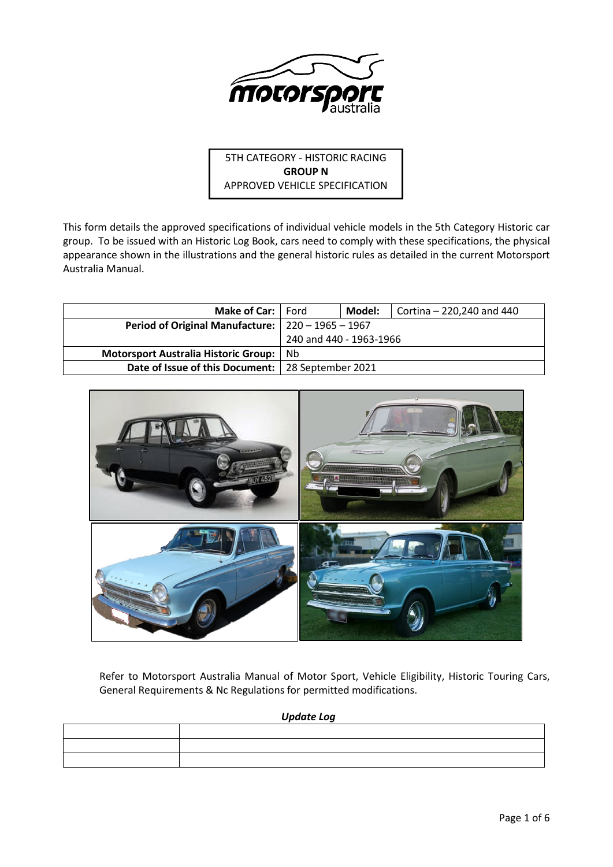

5TH CATEGORY - HISTORIC RACING **GROUP N** APPROVED VEHICLE SPECIFICATION

This form details the approved specifications of individual vehicle models in the 5th Category Historic car group. To be issued with an Historic Log Book, cars need to comply with these specifications, the physical appearance shown in the illustrations and the general historic rules as detailed in the current Motorsport Australia Manual.

| <b>Make of Car:</b> Ford                            |                         | Model: | Cortina - 220,240 and 440 |
|-----------------------------------------------------|-------------------------|--------|---------------------------|
| Period of Original Manufacture:   220 - 1965 - 1967 |                         |        |                           |
|                                                     | 240 and 440 - 1963-1966 |        |                           |
| Motorsport Australia Historic Group:                | N <sub>b</sub>          |        |                           |
| Date of Issue of this Document:   28 September 2021 |                         |        |                           |



Refer to Motorsport Australia Manual of Motor Sport, Vehicle Eligibility, Historic Touring Cars, General Requirements & Nc Regulations for permitted modifications.

*Update Log*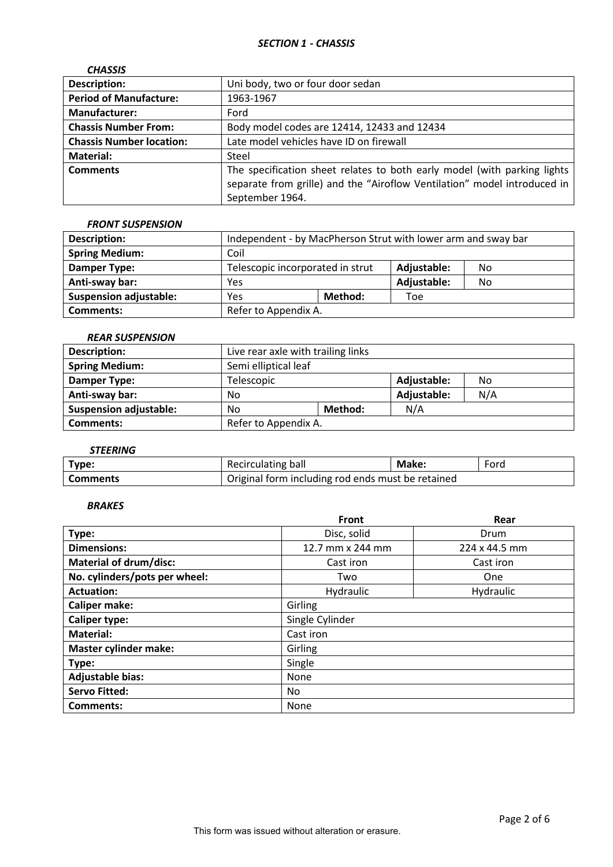| <b>CHASSIS</b>                  |                                                                                                                                                                         |
|---------------------------------|-------------------------------------------------------------------------------------------------------------------------------------------------------------------------|
| <b>Description:</b>             | Uni body, two or four door sedan                                                                                                                                        |
| <b>Period of Manufacture:</b>   | 1963-1967                                                                                                                                                               |
| <b>Manufacturer:</b>            | Ford                                                                                                                                                                    |
| <b>Chassis Number From:</b>     | Body model codes are 12414, 12433 and 12434                                                                                                                             |
| <b>Chassis Number location:</b> | Late model vehicles have ID on firewall                                                                                                                                 |
| <b>Material:</b>                | Steel                                                                                                                                                                   |
| <b>Comments</b>                 | The specification sheet relates to both early model (with parking lights<br>separate from grille) and the "Airoflow Ventilation" model introduced in<br>September 1964. |

### *FRONT SUSPENSION*

| <b>Description:</b>           | Independent - by MacPherson Strut with lower arm and sway bar |         |             |    |
|-------------------------------|---------------------------------------------------------------|---------|-------------|----|
| <b>Spring Medium:</b>         | Coil                                                          |         |             |    |
| Damper Type:                  | Telescopic incorporated in strut<br>Adjustable:<br>No         |         |             |    |
| Anti-sway bar:                | Yes                                                           |         | Adjustable: | No |
| <b>Suspension adjustable:</b> | Yes                                                           | Method: | Toe         |    |
| <b>Comments:</b>              | Refer to Appendix A.                                          |         |             |    |

## *REAR SUSPENSION*

| Description:                  | Live rear axle with trailing links |                   |             |     |
|-------------------------------|------------------------------------|-------------------|-------------|-----|
| <b>Spring Medium:</b>         | Semi elliptical leaf               |                   |             |     |
| Damper Type:                  | Telescopic                         | Adjustable:<br>No |             |     |
| Anti-sway bar:                | No                                 |                   | Adjustable: | N/A |
| <b>Suspension adjustable:</b> | N/A<br>Method:<br>No               |                   |             |     |
| Comments:                     | Refer to Appendix A.               |                   |             |     |

# *STEERING*

| Type:           | Recirculating ball                                | Make: | Ford |
|-----------------|---------------------------------------------------|-------|------|
| <b>Comments</b> | Original form including rod ends must be retained |       |      |

# *BRAKES*

|                               | <b>Front</b>     | Rear          |  |  |  |
|-------------------------------|------------------|---------------|--|--|--|
| Type:                         | Disc, solid      | Drum          |  |  |  |
| <b>Dimensions:</b>            | 12.7 mm x 244 mm | 224 x 44.5 mm |  |  |  |
| <b>Material of drum/disc:</b> | Cast iron        | Cast iron     |  |  |  |
| No. cylinders/pots per wheel: | Two              | One           |  |  |  |
| <b>Actuation:</b>             | Hydraulic        | Hydraulic     |  |  |  |
| <b>Caliper make:</b>          | Girling          |               |  |  |  |
| <b>Caliper type:</b>          | Single Cylinder  |               |  |  |  |
| <b>Material:</b>              | Cast iron        |               |  |  |  |
| <b>Master cylinder make:</b>  | Girling          |               |  |  |  |
| Type:                         | Single           |               |  |  |  |
| <b>Adjustable bias:</b>       | None             |               |  |  |  |
| <b>Servo Fitted:</b>          | No.              |               |  |  |  |
| Comments:                     | None             |               |  |  |  |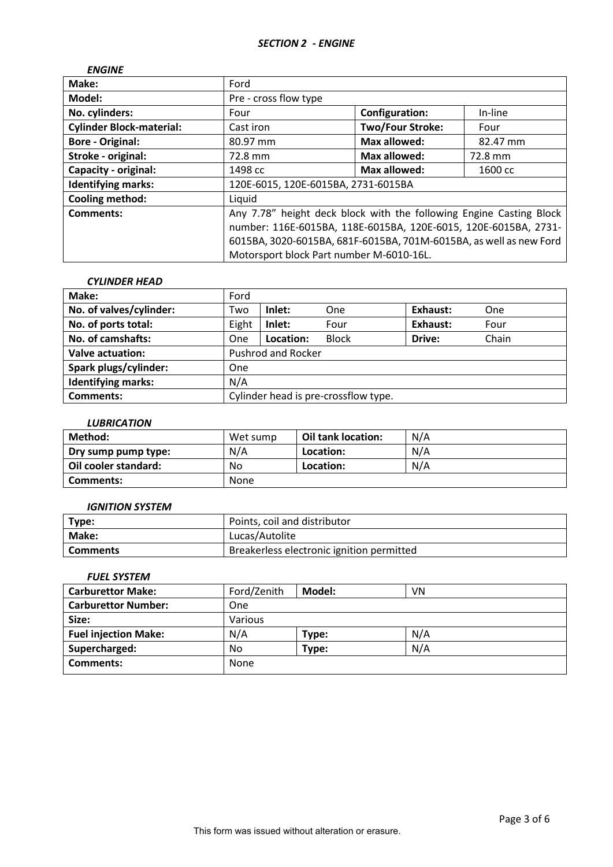| <b>ENGINE</b>                   |                                                                     |                         |          |
|---------------------------------|---------------------------------------------------------------------|-------------------------|----------|
| Make:                           | Ford                                                                |                         |          |
| Model:                          | Pre - cross flow type                                               |                         |          |
| No. cylinders:                  | Four                                                                | <b>Configuration:</b>   | In-line  |
| <b>Cylinder Block-material:</b> | Cast iron                                                           | <b>Two/Four Stroke:</b> | Four     |
| <b>Bore - Original:</b>         | 80.97 mm                                                            | <b>Max allowed:</b>     | 82.47 mm |
| Stroke - original:              | 72.8 mm                                                             | <b>Max allowed:</b>     | 72.8 mm  |
| Capacity - original:            | 1498 cc                                                             | <b>Max allowed:</b>     | 1600 cc  |
| <b>Identifying marks:</b>       | 120E-6015, 120E-6015BA, 2731-6015BA                                 |                         |          |
| <b>Cooling method:</b>          | Liquid                                                              |                         |          |
| Comments:                       | Any 7.78" height deck block with the following Engine Casting Block |                         |          |
|                                 | number: 116E-6015BA, 118E-6015BA, 120E-6015, 120E-6015BA, 2731-     |                         |          |
|                                 | 6015BA, 3020-6015BA, 681F-6015BA, 701M-6015BA, as well as new Ford  |                         |          |
|                                 | Motorsport block Part number M-6010-16L.                            |                         |          |

### *CYLINDER HEAD*

| Make:                     | Ford                                 |           |              |          |       |
|---------------------------|--------------------------------------|-----------|--------------|----------|-------|
| No. of valves/cylinder:   | Two                                  | Inlet:    | One          | Exhaust: | One   |
| No. of ports total:       | Eight                                | Inlet:    | Four         | Exhaust: | Four  |
| No. of camshafts:         | One                                  | Location: | <b>Block</b> | Drive:   | Chain |
| <b>Valve actuation:</b>   | <b>Pushrod and Rocker</b>            |           |              |          |       |
| Spark plugs/cylinder:     | One                                  |           |              |          |       |
| <b>Identifying marks:</b> | N/A                                  |           |              |          |       |
| <b>Comments:</b>          | Cylinder head is pre-crossflow type. |           |              |          |       |

### *LUBRICATION*

| Method:              | Wet sump | Oil tank location: | N/A |
|----------------------|----------|--------------------|-----|
| Dry sump pump type:  | N/A      | Location:          | N/A |
| Oil cooler standard: | No       | Location:          | N/A |
| Comments:            | None     |                    |     |

### *IGNITION SYSTEM*

| Type:        | Points, coil and distributor              |
|--------------|-------------------------------------------|
| <b>Make:</b> | Lucas/Autolite                            |
| Comments     | Breakerless electronic ignition permitted |

# *FUEL SYSTEM*

| <b>Carburettor Make:</b>    | Ford/Zenith | Model: | VN  |
|-----------------------------|-------------|--------|-----|
| <b>Carburettor Number:</b>  | One         |        |     |
| Size:                       | Various     |        |     |
| <b>Fuel injection Make:</b> | N/A         | Type:  | N/A |
| Supercharged:               | No.         | Type:  | N/A |
| <b>Comments:</b>            | None        |        |     |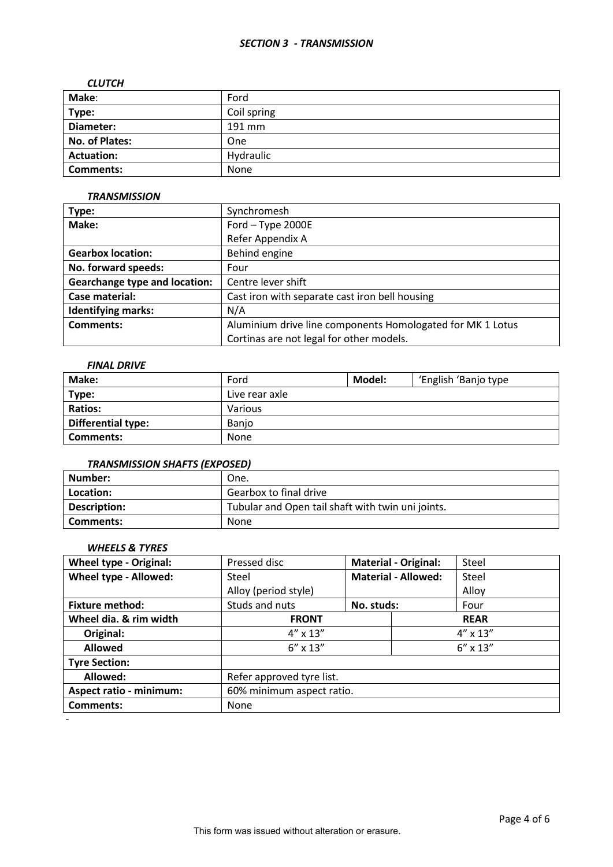### *SECTION 3 - TRANSMISSION*

#### *CLUTCH*

| Make:             | Ford        |
|-------------------|-------------|
| Type:             | Coil spring |
| Diameter:         | 191 mm      |
| No. of Plates:    | One         |
| <b>Actuation:</b> | Hydraulic   |
| <b>Comments:</b>  | None        |

### *TRANSMISSION*

| Type:                                | Synchromesh                                                |  |  |
|--------------------------------------|------------------------------------------------------------|--|--|
| Make:                                | Ford - Type 2000E                                          |  |  |
|                                      | Refer Appendix A                                           |  |  |
| <b>Gearbox location:</b>             | Behind engine                                              |  |  |
| No. forward speeds:                  | Four                                                       |  |  |
| <b>Gearchange type and location:</b> | Centre lever shift                                         |  |  |
| Case material:                       | Cast iron with separate cast iron bell housing             |  |  |
| <b>Identifying marks:</b>            | N/A                                                        |  |  |
| <b>Comments:</b>                     | Aluminium drive line components Homologated for MK 1 Lotus |  |  |
|                                      | Cortinas are not legal for other models.                   |  |  |

# *FINAL DRIVE*

| Make:              | Ford           | Model:<br>'English 'Banjo type |  |  |
|--------------------|----------------|--------------------------------|--|--|
| Type:              | Live rear axle |                                |  |  |
| <b>Ratios:</b>     | Various        |                                |  |  |
| Differential type: | Banjo          |                                |  |  |
| <b>Comments:</b>   | None           |                                |  |  |

# *TRANSMISSION SHAFTS (EXPOSED)*

| l Number:    | One.                                              |
|--------------|---------------------------------------------------|
| Location:    | Gearbox to final drive                            |
| Description: | Tubular and Open tail shaft with twin uni joints. |
| Comments:    | <b>None</b>                                       |

# *WHEELS & TYRES*

| <b>Wheel type - Original:</b>  | Pressed disc              | <b>Material - Original:</b> |                   | Steel             |  |
|--------------------------------|---------------------------|-----------------------------|-------------------|-------------------|--|
| Wheel type - Allowed:          | Steel                     | <b>Material - Allowed:</b>  |                   | Steel             |  |
|                                | Alloy (period style)      |                             |                   | Alloy             |  |
| <b>Fixture method:</b>         | Studs and nuts            | No. studs:                  |                   | Four              |  |
| Wheel dia. & rim width         | <b>FRONT</b>              |                             |                   | <b>REAR</b>       |  |
| Original:                      | $4'' \times 13''$         |                             |                   | $4'' \times 13''$ |  |
| <b>Allowed</b>                 | $6'' \times 13''$         |                             | $6'' \times 13''$ |                   |  |
| <b>Tyre Section:</b>           |                           |                             |                   |                   |  |
| Allowed:                       | Refer approved tyre list. |                             |                   |                   |  |
| <b>Aspect ratio - minimum:</b> | 60% minimum aspect ratio. |                             |                   |                   |  |
| <b>Comments:</b>               | None                      |                             |                   |                   |  |

-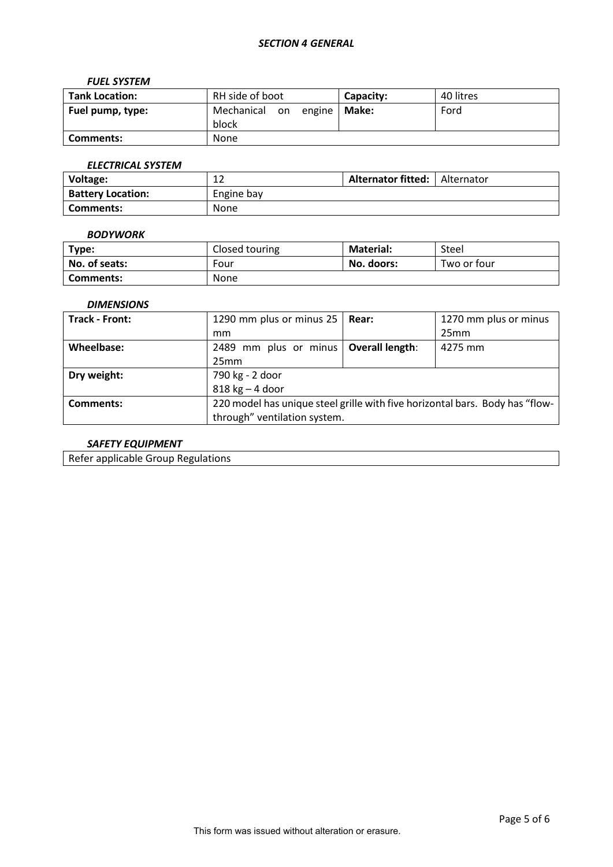## *FUEL SYSTEM*

| <b>Tank Location:</b> | RH side of boot                  | Capacity: | 40 litres |
|-----------------------|----------------------------------|-----------|-----------|
| Fuel pump, type:      | Mechanical<br>on engine<br>block | Make:     | Ford      |
| Comments:             | None                             |           |           |

# *ELECTRICAL SYSTEM*

| Voltage:                 | $\sim$<br>∸ | <b>Alternator fitted:</b>   Alternator |  |
|--------------------------|-------------|----------------------------------------|--|
| <b>Battery Location:</b> | Engine bay  |                                        |  |
| l Comments:              | None        |                                        |  |

### *BODYWORK*

| Type:         | Closed touring | <b>Material:</b> | Steel       |
|---------------|----------------|------------------|-------------|
| No. of seats: | Four           | No. doors:       | Two or four |
| Comments:     | None           |                  |             |

# *DIMENSIONS*

| <b>Track - Front:</b> | 1290 mm plus or minus 25                                                     | Rear: | 1270 mm plus or minus |  |
|-----------------------|------------------------------------------------------------------------------|-------|-----------------------|--|
|                       | mm                                                                           |       | 25mm                  |  |
| Wheelbase:            | 2489 mm plus or minus   Overall length:                                      |       | 4275 mm               |  |
|                       | 25mm                                                                         |       |                       |  |
| Dry weight:           | 790 kg - 2 door                                                              |       |                       |  |
|                       | $818$ kg $-$ 4 door                                                          |       |                       |  |
| Comments:             | 220 model has unique steel grille with five horizontal bars. Body has "flow- |       |                       |  |
|                       | through" ventilation system.                                                 |       |                       |  |

# *SAFETY EQUIPMENT*

Refer applicable Group Regulations